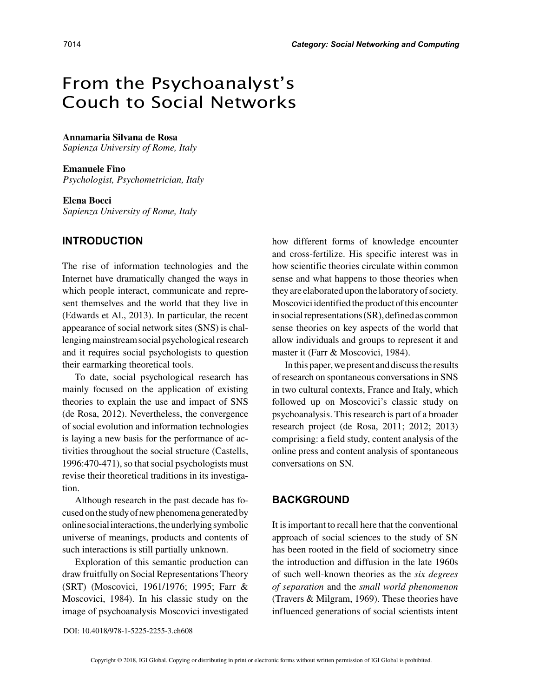# From the Psychoanalyst's Couch to Social Networks

## **Annamaria Silvana de Rosa**

*Sapienza University of Rome, Italy*

### **Emanuele Fino**

*Psychologist, Psychometrician, Italy*

#### **Elena Bocci**

*Sapienza University of Rome, Italy*

### **INTRODUCTION**

The rise of information technologies and the Internet have dramatically changed the ways in which people interact, communicate and represent themselves and the world that they live in (Edwards et Al., 2013). In particular, the recent appearance of social network sites (SNS) is challenging mainstream social psychological research and it requires social psychologists to question their earmarking theoretical tools.

To date, social psychological research has mainly focused on the application of existing theories to explain the use and impact of SNS (de Rosa, 2012). Nevertheless, the convergence of social evolution and information technologies is laying a new basis for the performance of activities throughout the social structure (Castells, 1996:470-471), so that social psychologists must revise their theoretical traditions in its investigation.

Although research in the past decade has focused on the study of new phenomena generated by online social interactions, the underlying symbolic universe of meanings, products and contents of such interactions is still partially unknown.

Exploration of this semantic production can draw fruitfully on Social Representations Theory (SRT) (Moscovici, 1961/1976; 1995; Farr & Moscovici, 1984). In his classic study on the image of psychoanalysis Moscovici investigated how different forms of knowledge encounter and cross-fertilize. His specific interest was in how scientific theories circulate within common sense and what happens to those theories when they are elaborated upon the laboratory of society. Moscovici identified the product of this encounter in social representations (SR), defined as common sense theories on key aspects of the world that allow individuals and groups to represent it and master it (Farr & Moscovici, 1984).

In this paper, we present and discuss the results of research on spontaneous conversations in SNS in two cultural contexts, France and Italy, which followed up on Moscovici's classic study on psychoanalysis. This research is part of a broader research project (de Rosa, 2011; 2012; 2013) comprising: a field study, content analysis of the online press and content analysis of spontaneous conversations on SN.

## **BACKGROUND**

It is important to recall here that the conventional approach of social sciences to the study of SN has been rooted in the field of sociometry since the introduction and diffusion in the late 1960s of such well-known theories as the *six degrees of separation* and the *small world phenomenon* (Travers & Milgram, 1969). These theories have influenced generations of social scientists intent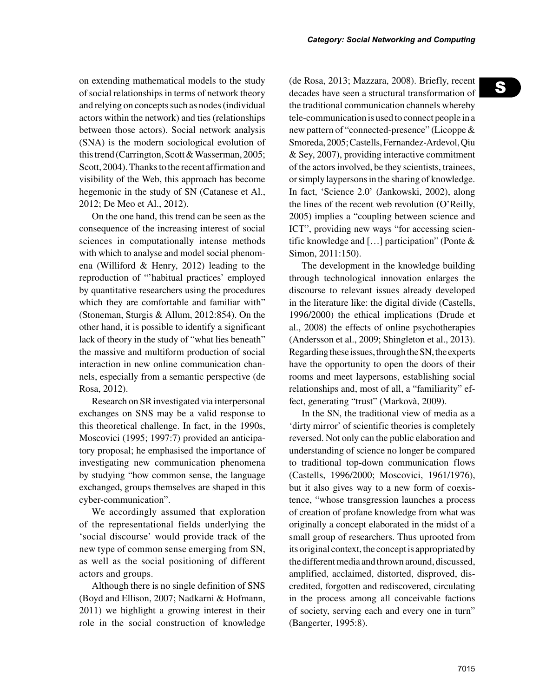on extending mathematical models to the study of social relationships in terms of network theory and relying on concepts such as nodes (individual actors within the network) and ties (relationships between those actors). Social network analysis (SNA) is the modern sociological evolution of this trend (Carrington, Scott & Wasserman, 2005; Scott, 2004). Thanks to the recent affirmation and visibility of the Web, this approach has become hegemonic in the study of SN (Catanese et Al., 2012; De Meo et Al., 2012).

On the one hand, this trend can be seen as the consequence of the increasing interest of social sciences in computationally intense methods with which to analyse and model social phenomena (Williford & Henry, 2012) leading to the reproduction of "'habitual practices' employed by quantitative researchers using the procedures which they are comfortable and familiar with" (Stoneman, Sturgis & Allum, 2012:854). On the other hand, it is possible to identify a significant lack of theory in the study of "what lies beneath" the massive and multiform production of social interaction in new online communication channels, especially from a semantic perspective (de Rosa, 2012).

Research on SR investigated via interpersonal exchanges on SNS may be a valid response to this theoretical challenge. In fact, in the 1990s, Moscovici (1995; 1997:7) provided an anticipatory proposal; he emphasised the importance of investigating new communication phenomena by studying "how common sense, the language exchanged, groups themselves are shaped in this cyber-communication".

We accordingly assumed that exploration of the representational fields underlying the 'social discourse' would provide track of the new type of common sense emerging from SN, as well as the social positioning of different actors and groups.

Although there is no single definition of SNS (Boyd and Ellison, 2007; Nadkarni & Hofmann, 2011) we highlight a growing interest in their role in the social construction of knowledge (de Rosa, 2013; Mazzara, 2008). Briefly, recent decades have seen a structural transformation of the traditional communication channels whereby tele-communication is used to connect people in a new pattern of "connected-presence" (Licoppe & Smoreda, 2005; Castells, Fernandez-Ardevol, Qiu & Sey, 2007), providing interactive commitment of the actors involved, be they scientists, trainees, or simply laypersons in the sharing of knowledge. In fact, 'Science 2.0' (Jankowski, 2002), along the lines of the recent web revolution (O'Reilly, 2005) implies a "coupling between science and ICT", providing new ways "for accessing scientific knowledge and […] participation" (Ponte & Simon, 2011:150).

The development in the knowledge building through technological innovation enlarges the discourse to relevant issues already developed in the literature like: the digital divide (Castells, 1996/2000) the ethical implications (Drude et al., 2008) the effects of online psychotherapies (Andersson et al., 2009; Shingleton et al., 2013). Regarding these issues, through the SN, the experts have the opportunity to open the doors of their rooms and meet laypersons, establishing social relationships and, most of all, a "familiarity" effect, generating "trust" (Markovà, 2009).

In the SN, the traditional view of media as a 'dirty mirror' of scientific theories is completely reversed. Not only can the public elaboration and understanding of science no longer be compared to traditional top-down communication flows (Castells, 1996/2000; Moscovici, 1961/1976), but it also gives way to a new form of coexistence, "whose transgression launches a process of creation of profane knowledge from what was originally a concept elaborated in the midst of a small group of researchers. Thus uprooted from its original context, the concept is appropriated by the different media and thrown around, discussed, amplified, acclaimed, distorted, disproved, discredited, forgotten and rediscovered, circulating in the process among all conceivable factions of society, serving each and every one in turn" (Bangerter, 1995:8).